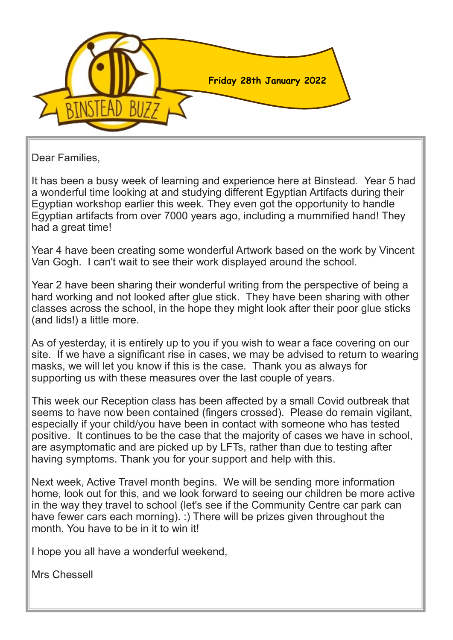

Dear Families,

It has been a busy week of learning and experience here at Binstead. Year 5 had a wonderful time looking at and studying different Egyptian Artifacts during their Egyptian workshop earlier this week. They even got the opportunity to handle Egyptian artifacts from over 7000 years ago, including a mummified hand! They had a great time!

Year 4 have been creating some wonderful Artwork based on the work by Vincent Van Gogh. I can't wait to see their work displayed around the school.

Year 2 have been sharing their wonderful writing from the perspective of being a hard working and not looked after glue stick. They have been sharing with other classes across the school, in the hope they might look after their poor glue sticks (and lids!) a little more.

As of yesterday, it is entirely up to you if you wish to wear a face covering on our site. If we have a significant rise in cases, we may be advised to return to wearing masks, we will let you know if this is the case. Thank you as always for supporting us with these measures over the last couple of years.

This week our Reception class has been affected by a small Covid outbreak that seems to have now been contained (fingers crossed). Please do remain vigilant, especially if your child/you have been in contact with someone who has tested positive. It continues to be the case that the majority of cases we have in school, are asymptomatic and are picked up by LFTs, rather than due to testing after having symptoms. Thank you for your support and help with this.

Next week, Active Travel month begins. We will be sending more information home, look out for this, and we look forward to seeing our children be more active in the way they travel to school (let's see if the Community Centre car park can have fewer cars each morning). :) There will be prizes given throughout the month. You have to be in it to win it!

I hope you all have a wonderful weekend,

Mrs Chessell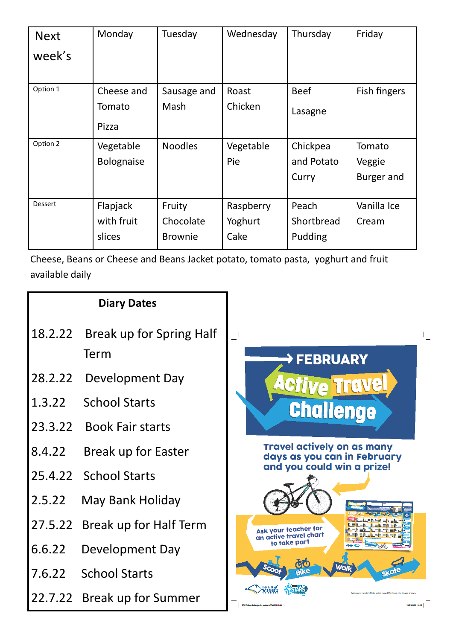| <b>Next</b> | Monday            | Tuesday        | Wednesday | Thursday    | Friday       |
|-------------|-------------------|----------------|-----------|-------------|--------------|
| week's      |                   |                |           |             |              |
| Option 1    | Cheese and        | Sausage and    | Roast     | <b>Beef</b> | Fish fingers |
|             |                   |                |           |             |              |
|             | Tomato            | Mash           | Chicken   | Lasagne     |              |
|             | Pizza             |                |           |             |              |
| Option 2    | Vegetable         | <b>Noodles</b> | Vegetable | Chickpea    | Tomato       |
|             | <b>Bolognaise</b> |                | Pie       | and Potato  | Veggie       |
|             |                   |                |           | Curry       | Burger and   |
|             |                   |                |           |             |              |
| Dessert     | Flapjack          | Fruity         | Raspberry | Peach       | Vanilla Ice  |
|             | with fruit        | Chocolate      | Yoghurt   | Shortbread  | Cream        |
|             | slices            | <b>Brownie</b> | Cake      | Pudding     |              |

Cheese, Beans or Cheese and Beans Jacket potato, tomato pasta, yoghurt and fruit available daily

|         | <b>Diary Dates</b>             |                                                                                                              |  |  |
|---------|--------------------------------|--------------------------------------------------------------------------------------------------------------|--|--|
| 18.2.22 | Break up for Spring Half       |                                                                                                              |  |  |
|         | Term                           | >FEBRUARY                                                                                                    |  |  |
| 28.2.22 | Development Day                | <b>Active Travel</b><br><b>Challenge</b><br><b>Travel actively on as many</b><br>days as you can in February |  |  |
| 1.3.22  | <b>School Starts</b>           |                                                                                                              |  |  |
|         | 23.3.22 Book Fair starts       |                                                                                                              |  |  |
| 8.4.22  | Break up for Easter            |                                                                                                              |  |  |
|         | 25.4.22 School Starts          | and you could win a prize!                                                                                   |  |  |
| 2.5.22  | May Bank Holiday               |                                                                                                              |  |  |
|         | 27.5.22 Break up for Half Term | Ask your teacher for<br>an active travel chart                                                               |  |  |
| 6.6.22  | Development Day                | to take part                                                                                                 |  |  |
| 7.6.22  | <b>School Starts</b>           | <b>Gkd</b>                                                                                                   |  |  |
|         | 22.7.22 Break up for Summer    | Make and model of blice orize may differ from the                                                            |  |  |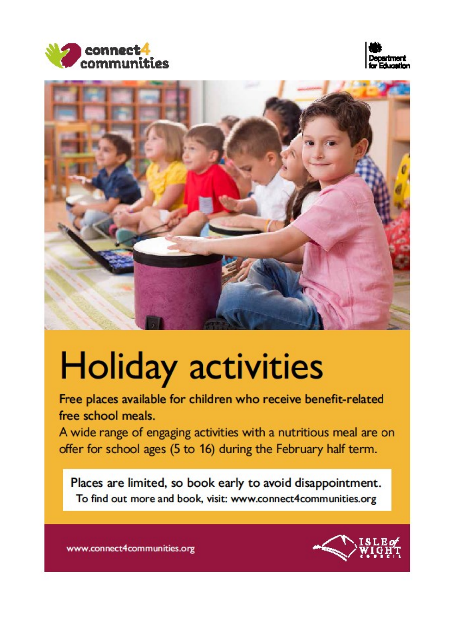





# **Holiday activities**

Free places available for children who receive benefit-related free school meals.

A wide range of engaging activities with a nutritious meal are on offer for school ages (5 to 16) during the February half term.

Places are limited, so book early to avoid disappointment. To find out more and book, visit: www.connect4communities.org



www.connect4communities.org